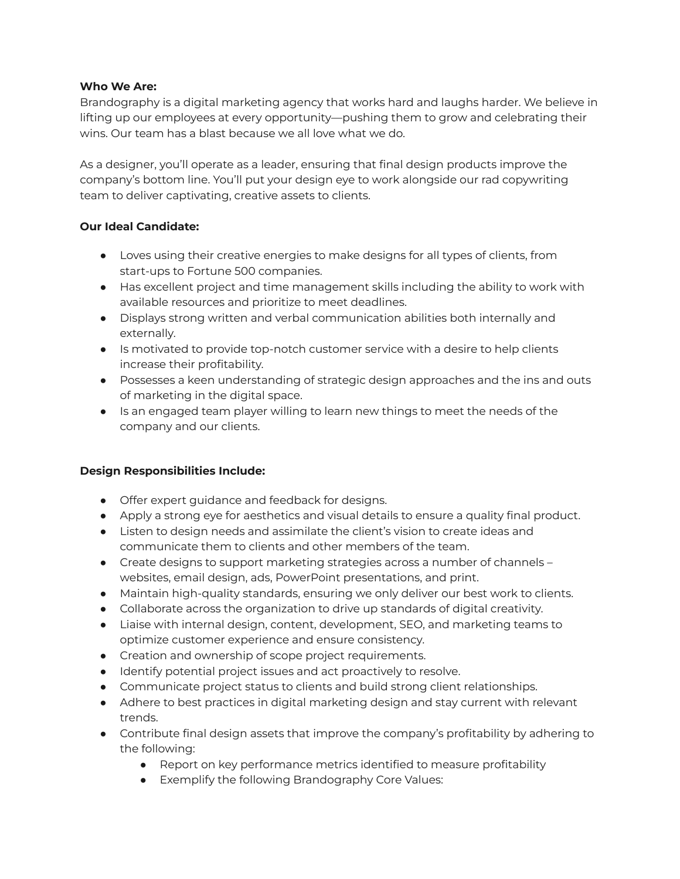### **Who We Are:**

Brandography is a digital marketing agency that works hard and laughs harder. We believe in lifting up our employees at every opportunity—pushing them to grow and celebrating their wins. Our team has a blast because we all love what we do.

As a designer, you'll operate as a leader, ensuring that final design products improve the company's bottom line. You'll put your design eye to work alongside our rad copywriting team to deliver captivating, creative assets to clients.

# **Our Ideal Candidate:**

- Loves using their creative energies to make designs for all types of clients, from start-ups to Fortune 500 companies.
- Has excellent project and time management skills including the ability to work with available resources and prioritize to meet deadlines.
- Displays strong written and verbal communication abilities both internally and externally.
- Is motivated to provide top-notch customer service with a desire to help clients increase their profitability.
- Possesses a keen understanding of strategic design approaches and the ins and outs of marketing in the digital space.
- Is an engaged team player willing to learn new things to meet the needs of the company and our clients.

# **Design Responsibilities Include:**

- Offer expert guidance and feedback for designs.
- Apply a strong eye for aesthetics and visual details to ensure a quality final product.
- Listen to design needs and assimilate the client's vision to create ideas and communicate them to clients and other members of the team.
- Create designs to support marketing strategies across a number of channels websites, email design, ads, PowerPoint presentations, and print.
- Maintain high-quality standards, ensuring we only deliver our best work to clients.
- Collaborate across the organization to drive up standards of digital creativity.
- Liaise with internal design, content, development, SEO, and marketing teams to optimize customer experience and ensure consistency.
- Creation and ownership of scope project requirements.
- Identify potential project issues and act proactively to resolve.
- Communicate project status to clients and build strong client relationships.
- Adhere to best practices in digital marketing design and stay current with relevant trends.
- Contribute final design assets that improve the company's profitability by adhering to the following:
	- Report on key performance metrics identified to measure profitability
	- Exemplify the following Brandography Core Values: